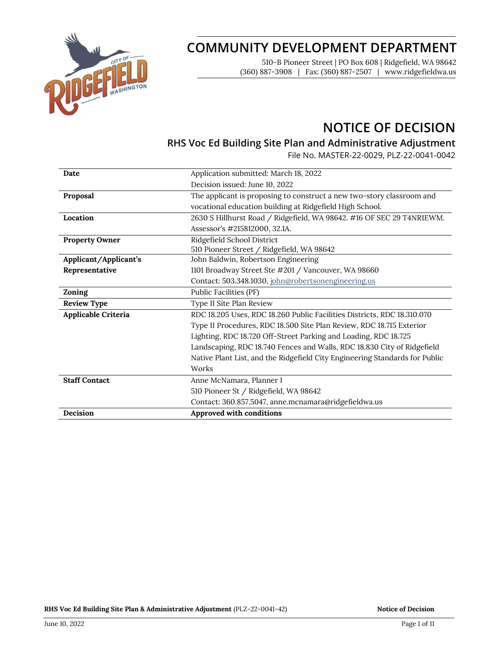

# **COMMUNITY DEVELOPMENT DEPARTMENT**

510-B Pioneer Street | PO Box 608 | Ridgefield, WA 98642 (360) 887-3908 | Fax: (360) 887-2507 | www.ridgefieldwa.us

# **NOTICE OF DECISION**

## **RHS Voc Ed Building Site Plan and Administrative Adjustment**

File No. MASTER-22-0029, PLZ-22-0041-0042

| Date                  | Application submitted: March 18, 2022                                       |
|-----------------------|-----------------------------------------------------------------------------|
|                       | Decision issued: June 10, 2022                                              |
| Proposal              | The applicant is proposing to construct a new two-story classroom and       |
|                       | vocational education building at Ridgefield High School.                    |
| Location              | 2630 S Hillhurst Road / Ridgefield, WA 98642. #16 OF SEC 29 T4NR1EWM.       |
|                       | Assessor's #215812000, 32.1A.                                               |
| <b>Property Owner</b> | Ridgefield School District                                                  |
|                       | 510 Pioneer Street / Ridgefield, WA 98642                                   |
| Applicant/Applicant's | John Baldwin, Robertson Engineering                                         |
| Representative        | 1101 Broadway Street Ste #201 / Vancouver, WA 98660                         |
|                       | Contact: 503.348.1030, john@robertsonengineering.us                         |
| Zoning                | Public Facilities (PF)                                                      |
| <b>Review Type</b>    | Type II Site Plan Review                                                    |
| Applicable Criteria   | RDC 18.205 Uses, RDC 18.260 Public Facilities Districts, RDC 18.310.070     |
|                       | Type II Procedures, RDC 18.500 Site Plan Review, RDC 18.715 Exterior        |
|                       | Lighting, RDC 18.720 Off-Street Parking and Loading, RDC 18.725             |
|                       | Landscaping, RDC 18.740 Fences and Walls, RDC 18.830 City of Ridgefield     |
|                       | Native Plant List, and the Ridgefield City Engineering Standards for Public |
|                       | Works                                                                       |
| <b>Staff Contact</b>  | Anne McNamara, Planner I                                                    |
|                       | 510 Pioneer St / Ridgefield, WA 98642                                       |
|                       | Contact: 360.857.5047, anne.mcnamara@ridgefieldwa.us                        |
| Decision              | Approved with conditions                                                    |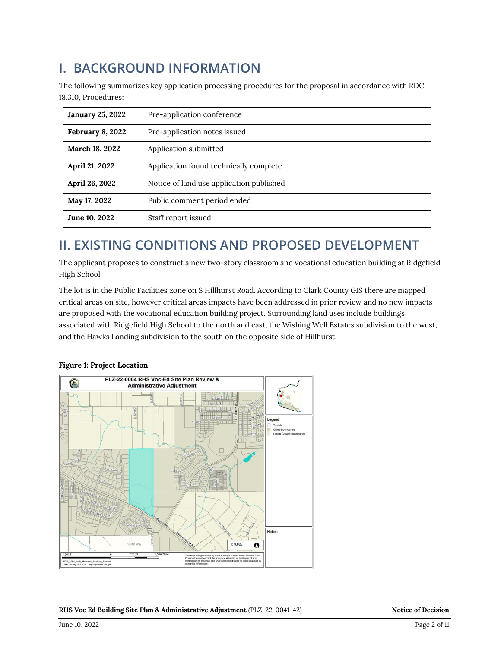# **I. BACKGROUND INFORMATION**

The following summarizes key application processing procedures for the proposal in accordance with RDC 18.310, Procedures:

| <b>January 25, 2022</b> | Pre-application conference               |
|-------------------------|------------------------------------------|
| February 8, 2022        | Pre-application notes issued             |
| March 18, 2022          | Application submitted                    |
| April 21, 2022          | Application found technically complete   |
| April 26, 2022          | Notice of land use application published |
| May 17, 2022            | Public comment period ended              |
| June 10, 2022           | Staff report issued                      |

# **II. EXISTING CONDITIONS AND PROPOSED DEVELOPMENT**

The applicant proposes to construct a new two-story classroom and vocational education building at Ridgefield High School.

The lot is in the Public Facilities zone on S Hillhurst Road. According to Clark County GIS there are mapped critical areas on site, however critical areas impacts have been addressed in prior review and no new impacts are proposed with the vocational education building project. Surrounding land uses include buildings associated with Ridgefield High School to the north and east, the Wishing Well Estates subdivision to the west, and the Hawks Landing subdivision to the south on the opposite side of Hillhurst.



## **Figure 1: Project Location**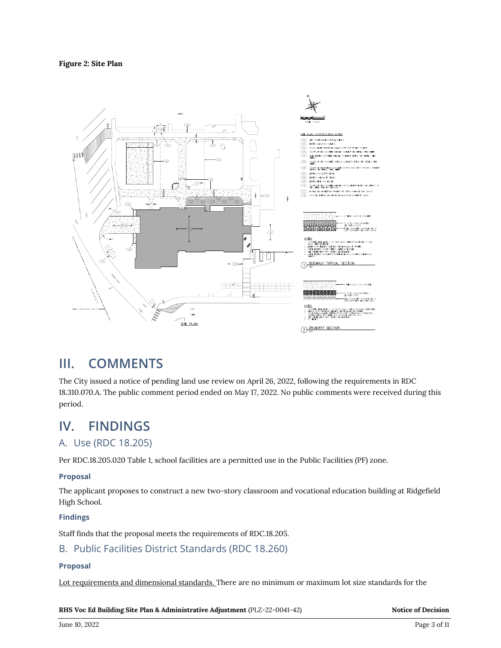#### **Figure 2: Site Plan**



## **III. COMMENTS**

The City issued a notice of pending land use review on April 26, 2022, following the requirements in RDC 18.310.070.A. The public comment period ended on May 17, 2022. No public comments were received during this period.

## **IV. FINDINGS**

## A. Use (RDC 18.205)

Per RDC.18.205.020 Table 1, school facilities are a permitted use in the Public Facilities (PF) zone.

#### **Proposal**

The applicant proposes to construct a new two-story classroom and vocational education building at Ridgefield High School.

#### **Findings**

Staff finds that the proposal meets the requirements of RDC.18.205.

## B. Public Facilities District Standards (RDC 18.260)

## **Proposal**

Lot requirements and dimensional standards. There are no minimum or maximum lot size standards for the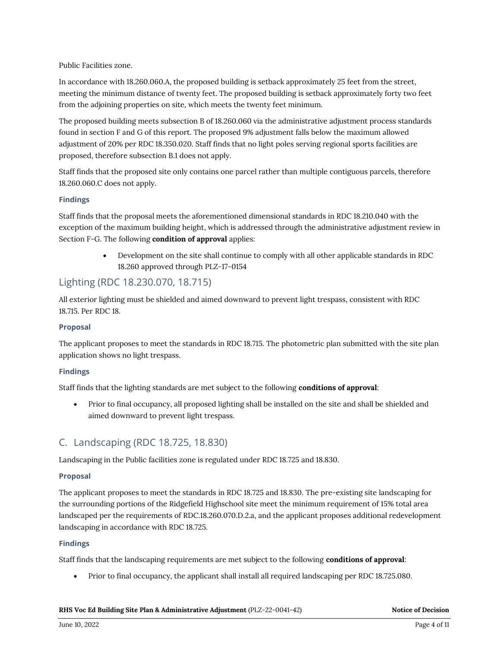#### Public Facilities zone.

In accordance with 18.260.060.A, the proposed building is setback approximately 25 feet from the street, meeting the minimum distance of twenty feet. The proposed building is setback approximately forty two feet from the adjoining properties on site, which meets the twenty feet minimum.

The proposed building meets subsection B of 18.260.060 via the administrative adjustment process standards found in section F and G of this report. The proposed 9% adjustment falls below the maximum allowed adjustment of 20% per RDC 18.350.020. Staff finds that no light poles serving regional sports facilities are proposed, therefore subsection B.1 does not apply.

Staff finds that the proposed site only contains one parcel rather than multiple contiguous parcels, therefore 18.260.060.C does not apply.

#### **Findings**

Staff finds that the proposal meets the aforementioned dimensional standards in RDC 18.210.040 with the exception of the maximum building height, which is addressed through the administrative adjustment review in Section F-G. The following **condition of approval** applies:

> • Development on the site shall continue to comply with all other applicable standards in RDC 18.260 approved through PLZ-17-0154

## Lighting (RDC 18.230.070, 18.715)

All exterior lighting must be shielded and aimed downward to prevent light trespass, consistent with RDC 18.715. Per RDC 18.

#### **Proposal**

The applicant proposes to meet the standards in RDC 18.715. The photometric plan submitted with the site plan application shows no light trespass.

#### **Findings**

Staff finds that the lighting standards are met subject to the following **conditions of approval**:

• Prior to final occupancy, all proposed lighting shall be installed on the site and shall be shielded and aimed downward to prevent light trespass.

## C. Landscaping (RDC 18.725, 18.830)

Landscaping in the Public facilities zone is regulated under RDC 18.725 and 18.830.

#### **Proposal**

The applicant proposes to meet the standards in RDC 18.725 and 18.830. The pre-existing site landscaping for the surrounding portions of the Ridgefield Highschool site meet the minimum requirement of 15% total area landscaped per the requirements of RDC.18.260.070.D.2.a, and the applicant proposes additional redevelopment landscaping in accordance with RDC 18.725.

#### **Findings**

Staff finds that the landscaping requirements are met subject to the following **conditions of approval**:

• Prior to final occupancy, the applicant shall install all required landscaping per RDC 18.725.080.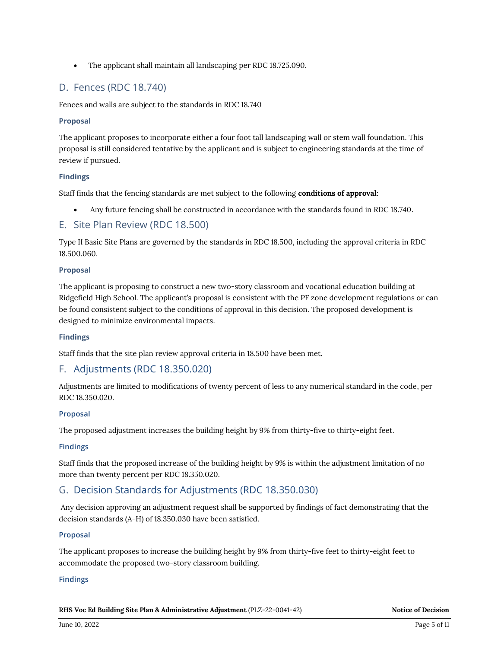• The applicant shall maintain all landscaping per RDC 18.725.090.

## D. Fences (RDC 18.740)

Fences and walls are subject to the standards in RDC 18.740

#### **Proposal**

The applicant proposes to incorporate either a four foot tall landscaping wall or stem wall foundation. This proposal is still considered tentative by the applicant and is subject to engineering standards at the time of review if pursued.

#### **Findings**

Staff finds that the fencing standards are met subject to the following **conditions of approval**:

• Any future fencing shall be constructed in accordance with the standards found in RDC 18.740.

## E. Site Plan Review (RDC 18.500)

Type II Basic Site Plans are governed by the standards in RDC 18.500, including the approval criteria in RDC 18.500.060.

#### **Proposal**

The applicant is proposing to construct a new two-story classroom and vocational education building at Ridgefield High School. The applicant's proposal is consistent with the PF zone development regulations or can be found consistent subject to the conditions of approval in this decision. The proposed development is designed to minimize environmental impacts.

#### **Findings**

Staff finds that the site plan review approval criteria in 18.500 have been met.

## F. Adjustments (RDC 18.350.020)

Adjustments are limited to modifications of twenty percent of less to any numerical standard in the code, per RDC 18.350.020.

#### **Proposal**

The proposed adjustment increases the building height by 9% from thirty-five to thirty-eight feet.

#### **Findings**

Staff finds that the proposed increase of the building height by 9% is within the adjustment limitation of no more than twenty percent per RDC 18.350.020.

## G. Decision Standards for Adjustments (RDC 18.350.030)

Any decision approving an adjustment request shall be supported by findings of fact demonstrating that the decision standards (A-H) of 18.350.030 have been satisfied.

#### **Proposal**

The applicant proposes to increase the building height by 9% from thirty-five feet to thirty-eight feet to accommodate the proposed two-story classroom building.

#### **Findings**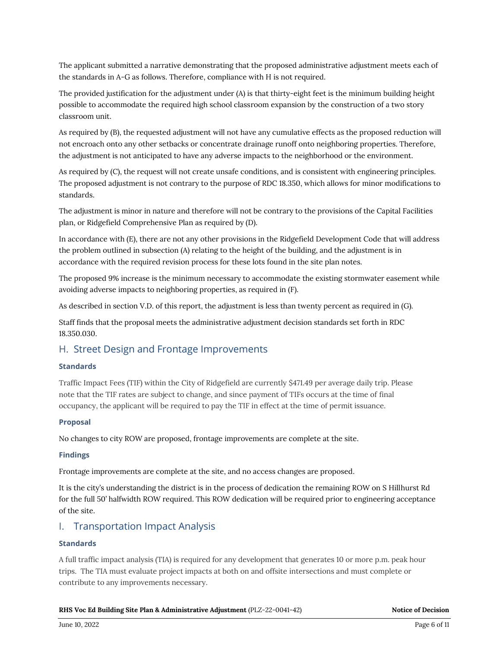The applicant submitted a narrative demonstrating that the proposed administrative adjustment meets each of the standards in A-G as follows. Therefore, compliance with H is not required.

The provided justification for the adjustment under (A) is that thirty-eight feet is the minimum building height possible to accommodate the required high school classroom expansion by the construction of a two story classroom unit.

As required by (B), the requested adjustment will not have any cumulative effects as the proposed reduction will not encroach onto any other setbacks or concentrate drainage runoff onto neighboring properties. Therefore, the adjustment is not anticipated to have any adverse impacts to the neighborhood or the environment.

As required by (C), the request will not create unsafe conditions, and is consistent with engineering principles. The proposed adjustment is not contrary to the purpose of RDC 18.350, which allows for minor modifications to standards.

The adjustment is minor in nature and therefore will not be contrary to the provisions of the Capital Facilities plan, or Ridgefield Comprehensive Plan as required by (D).

In accordance with (E), there are not any other provisions in the Ridgefield Development Code that will address the problem outlined in subsection (A) relating to the height of the building, and the adjustment is in accordance with the required revision process for these lots found in the site plan notes.

The proposed 9% increase is the minimum necessary to accommodate the existing stormwater easement while avoiding adverse impacts to neighboring properties, as required in (F).

As described in section V.D. of this report, the adjustment is less than twenty percent as required in (G).

Staff finds that the proposal meets the administrative adjustment decision standards set forth in RDC 18.350.030.

## H. Street Design and Frontage Improvements

#### **Standards**

Traffic Impact Fees (TIF) within the City of Ridgefield are currently \$471.49 per average daily trip. Please note that the TIF rates are subject to change, and since payment of TIFs occurs at the time of final occupancy, the applicant will be required to pay the TIF in effect at the time of permit issuance.

#### **Proposal**

No changes to city ROW are proposed, frontage improvements are complete at the site.

#### **Findings**

Frontage improvements are complete at the site, and no access changes are proposed.

It is the city's understanding the district is in the process of dedication the remaining ROW on S Hillhurst Rd for the full 50' halfwidth ROW required. This ROW dedication will be required prior to engineering acceptance of the site.

## I. Transportation Impact Analysis

#### **Standards**

A full traffic impact analysis (TIA) is required for any development that generates 10 or more p.m. peak hour trips. The TIA must evaluate project impacts at both on and offsite intersections and must complete or contribute to any improvements necessary.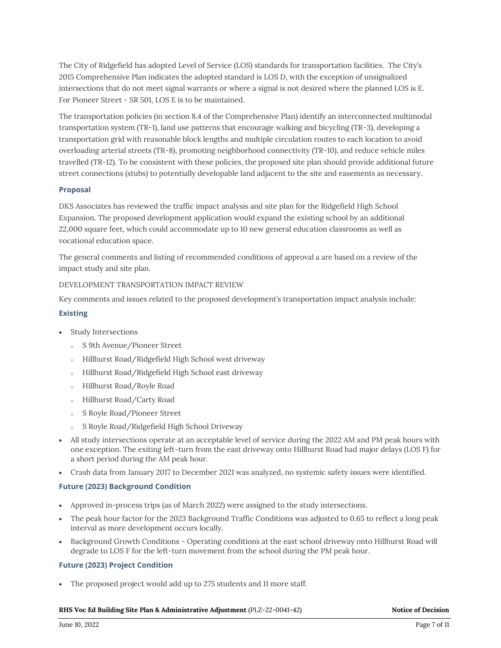The City of Ridgefield has adopted Level of Service (LOS) standards for transportation facilities. The City's 2015 Comprehensive Plan indicates the adopted standard is LOS D, with the exception of unsignalized intersections that do not meet signal warrants or where a signal is not desired where the planned LOS is E. For Pioneer Street - SR 501, LOS E is to be maintained.

The transportation policies (in section 8.4 of the Comprehensive Plan) identify an interconnected multimodal transportation system (TR-1), land use patterns that encourage walking and bicycling (TR-3), developing a transportation grid with reasonable block lengths and multiple circulation routes to each location to avoid overloading arterial streets (TR-8), promoting neighborhood connectivity (TR-10), and reduce vehicle miles travelled (TR-12). To be consistent with these policies, the proposed site plan should provide additional future street connections (stubs) to potentially developable land adjacent to the site and easements as necessary.

#### **Proposal**

DKS Associates has reviewed the traffic impact analysis and site plan for the Ridgefield High School Expansion. The proposed development application would expand the existing school by an additional 22,000 square feet, which could accommodate up to 10 new general education classrooms as well as vocational education space.

The general comments and listing of recommended conditions of approval a are based on a review of the impact study and site plan.

#### DEVELOPMENT TRANSPORTATION IMPACT REVIEW

Key comments and issues related to the proposed development's transportation impact analysis include:

#### **Existing**

- Study Intersections
	- S 9th Avenue/Pioneer Street
	- Hillhurst Road/Ridgefield High School west driveway
	- <sup>o</sup> Hillhurst Road/Ridgefield High School east driveway
	- Hillhurst Road/Royle Road
	- <sup>o</sup> Hillhurst Road/Carty Road
	- <sup>o</sup> S Royle Road/Pioneer Street
	- <sup>o</sup> S Royle Road/Ridgefield High School Driveway
- All study intersections operate at an acceptable level of service during the 2022 AM and PM peak hours with one exception. The exiting left-turn from the east driveway onto Hillhurst Road had major delays (LOS F) for a short period during the AM peak hour.
- Crash data from January 2017 to December 2021 was analyzed, no systemic safety issues were identified.

#### **Future (2023) Background Condition**

- Approved in-process trips (as of March 2022) were assigned to the study intersections.
- The peak hour factor for the 2023 Background Traffic Conditions was adjusted to 0.65 to reflect a long peak interval as more development occurs locally.
- Background Growth Conditions Operating conditions at the east school driveway onto Hillhurst Road will degrade to LOS F for the left-turn movement from the school during the PM peak hour.

#### **Future (2023) Project Condition**

• The proposed project would add up to 275 students and 11 more staff.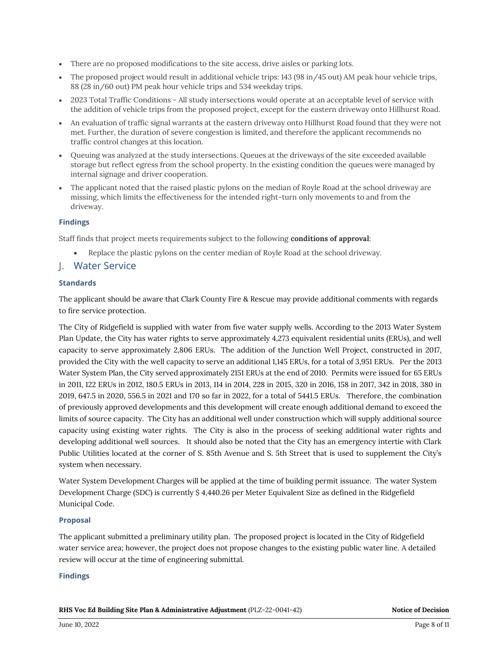- There are no proposed modifications to the site access, drive aisles or parking lots.
- The proposed project would result in additional vehicle trips: 143 (98 in/45 out) AM peak hour vehicle trips, 88 (28 in/60 out) PM peak hour vehicle trips and 534 weekday trips.
- 2023 Total Traffic Conditions All study intersections would operate at an acceptable level of service with the addition of vehicle trips from the proposed project, except for the eastern driveway onto Hillhurst Road.
- An evaluation of traffic signal warrants at the eastern driveway onto Hillhurst Road found that they were not met. Further, the duration of severe congestion is limited, and therefore the applicant recommends no traffic control changes at this location.
- Queuing was analyzed at the study intersections. Queues at the driveways of the site exceeded available storage but reflect egress from the school property. In the existing condition the queues were managed by internal signage and driver cooperation.
- The applicant noted that the raised plastic pylons on the median of Royle Road at the school driveway are missing, which limits the effectiveness for the intended right-turn only movements to and from the driveway.

#### **Findings**

Staff finds that project meets requirements subject to the following **conditions of approval**:

• Replace the plastic pylons on the center median of Royle Road at the school driveway.

## J. Water Service

#### **Standards**

The applicant should be aware that Clark County Fire & Rescue may provide additional comments with regards to fire service protection.

The City of Ridgefield is supplied with water from five water supply wells. According to the 2013 Water System Plan Update, the City has water rights to serve approximately 4,273 equivalent residential units (ERUs), and well capacity to serve approximately 2,806 ERUs. The addition of the Junction Well Project, constructed in 2017, provided the City with the well capacity to serve an additional 1,145 ERUs, for a total of 3,951 ERUs. Per the 2013 Water System Plan, the City served approximately 2151 ERUs at the end of 2010. Permits were issued for 65 ERUs in 2011, 122 ERUs in 2012, 180.5 ERUs in 2013, 114 in 2014, 228 in 2015, 320 in 2016, 158 in 2017, 342 in 2018, 380 in 2019, 647.5 in 2020, 556.5 in 2021 and 170 so far in 2022, for a total of 5441.5 ERUs. Therefore, the combination of previously approved developments and this development will create enough additional demand to exceed the limits of source capacity. The City has an additional well under construction which will supply additional source capacity using existing water rights. The City is also in the process of seeking additional water rights and developing additional well sources. It should also be noted that the City has an emergency intertie with Clark Public Utilities located at the corner of S. 85th Avenue and S. 5th Street that is used to supplement the City's system when necessary.

Water System Development Charges will be applied at the time of building permit issuance. The water System Development Charge (SDC) is currently \$ 4,440.26 per Meter Equivalent Size as defined in the Ridgefield Municipal Code.

#### **Proposal**

The applicant submitted a preliminary utility plan. The proposed project is located in the City of Ridgefield water service area; however, the project does not propose changes to the existing public water line. A detailed review will occur at the time of engineering submittal.

#### **Findings**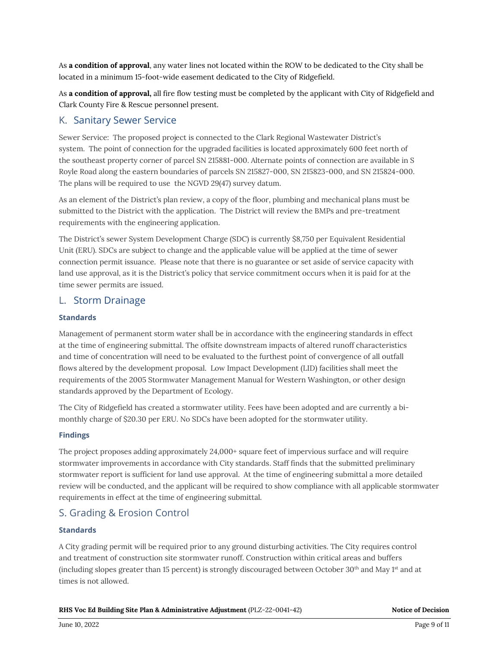As **a condition of approval**, any water lines not located within the ROW to be dedicated to the City shall be located in a minimum 15-foot-wide easement dedicated to the City of Ridgefield.

As **a condition of approval,** all fire flow testing must be completed by the applicant with City of Ridgefield and Clark County Fire & Rescue personnel present.

### K. Sanitary Sewer Service

Sewer Service: The proposed project is connected to the Clark Regional Wastewater District's system. The point of connection for the upgraded facilities is located approximately 600 feet north of the southeast property corner of parcel SN 215881-000. Alternate points of connection are available in S Royle Road along the eastern boundaries of parcels SN 215827-000, SN 215823-000, and SN 215824-000. The plans will be required to use the NGVD 29(47) survey datum.

As an element of the District's plan review, a copy of the floor, plumbing and mechanical plans must be submitted to the District with the application. The District will review the BMPs and pre-treatment requirements with the engineering application.

The District's sewer System Development Charge (SDC) is currently \$8,750 per Equivalent Residential Unit (ERU). SDCs are subject to change and the applicable value will be applied at the time of sewer connection permit issuance. Please note that there is no guarantee or set aside of service capacity with land use approval, as it is the District's policy that service commitment occurs when it is paid for at the time sewer permits are issued.

### L. Storm Drainage

#### **Standards**

Management of permanent storm water shall be in accordance with the engineering standards in effect at the time of engineering submittal. The offsite downstream impacts of altered runoff characteristics and time of concentration will need to be evaluated to the furthest point of convergence of all outfall flows altered by the development proposal. Low Impact Development (LID) facilities shall meet the requirements of the 2005 Stormwater Management Manual for Western Washington, or other design standards approved by the Department of Ecology.

The City of Ridgefield has created a stormwater utility. Fees have been adopted and are currently a bimonthly charge of \$20.30 per ERU. No SDCs have been adopted for the stormwater utility.

#### **Findings**

The project proposes adding approximately 24,000+ square feet of impervious surface and will require stormwater improvements in accordance with City standards. Staff finds that the submitted preliminary stormwater report is sufficient for land use approval. At the time of engineering submittal a more detailed review will be conducted, and the applicant will be required to show compliance with all applicable stormwater requirements in effect at the time of engineering submittal.

## S. Grading & Erosion Control

#### **Standards**

A City grading permit will be required prior to any ground disturbing activities. The City requires control and treatment of construction site stormwater runoff. Construction within critical areas and buffers (including slopes greater than 15 percent) is strongly discouraged between October  $30<sup>th</sup>$  and May 1<sup>st</sup> and at times is not allowed.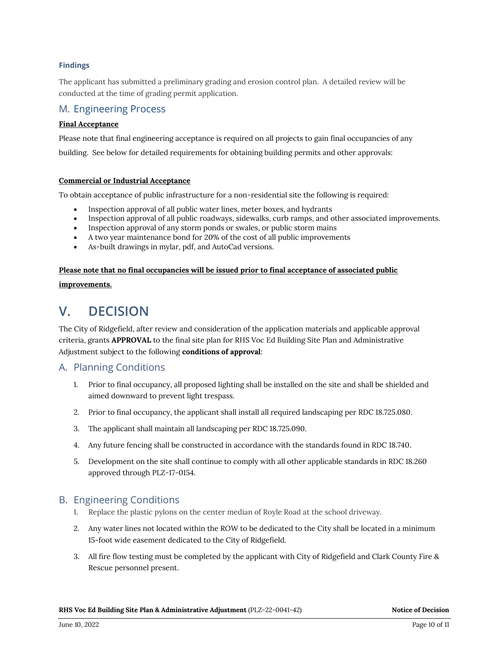#### **Findings**

The applicant has submitted a preliminary grading and erosion control plan. A detailed review will be conducted at the time of grading permit application.

### M. Engineering Process

#### **Final Acceptance**

Please note that final engineering acceptance is required on all projects to gain final occupancies of any building. See below for detailed requirements for obtaining building permits and other approvals:

#### **Commercial or Industrial Acceptance**

To obtain acceptance of public infrastructure for a non-residential site the following is required:

- Inspection approval of all public water lines, meter boxes, and hydrants
- Inspection approval of all public roadways, sidewalks, curb ramps, and other associated improvements.
- Inspection approval of any storm ponds or swales, or public storm mains
- A two year maintenance bond for 20% of the cost of all public improvements
- As-built drawings in mylar, pdf, and AutoCad versions.

## **Please note that no final occupancies will be issued prior to final acceptance of associated public improvements.**

## **V. DECISION**

The City of Ridgefield, after review and consideration of the application materials and applicable approval criteria, grants **APPROVAL** to the final site plan for RHS Voc Ed Building Site Plan and Administrative Adjustment subject to the following **conditions of approval**:

## A. Planning Conditions

- 1. Prior to final occupancy, all proposed lighting shall be installed on the site and shall be shielded and aimed downward to prevent light trespass.
- 2. Prior to final occupancy, the applicant shall install all required landscaping per RDC 18.725.080.
- 3. The applicant shall maintain all landscaping per RDC 18.725.090.
- 4. Any future fencing shall be constructed in accordance with the standards found in RDC 18.740.
- 5. Development on the site shall continue to comply with all other applicable standards in RDC 18.260 approved through PLZ-17-0154.

#### B. Engineering Conditions

- 1. Replace the plastic pylons on the center median of Royle Road at the school driveway.
- 2. Any water lines not located within the ROW to be dedicated to the City shall be located in a minimum 15-foot wide easement dedicated to the City of Ridgefield.
- 3. All fire flow testing must be completed by the applicant with City of Ridgefield and Clark County Fire & Rescue personnel present.